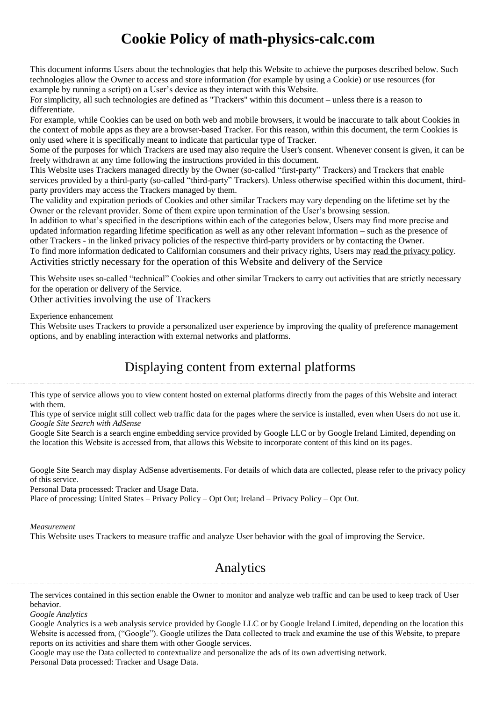# **Cookie Policy of math-physics-calc.com**

This document informs Users about the technologies that help this Website to achieve the purposes described below. Such technologies allow the Owner to access and store information (for example by using a Cookie) or use resources (for example by running a script) on a User's device as they interact with this Website.

For simplicity, all such technologies are defined as "Trackers" within this document – unless there is a reason to differentiate.

For example, while Cookies can be used on both web and mobile browsers, it would be inaccurate to talk about Cookies in the context of mobile apps as they are a browser-based Tracker. For this reason, within this document, the term Cookies is only used where it is specifically meant to indicate that particular type of Tracker.

Some of the purposes for which Trackers are used may also require the User's consent. Whenever consent is given, it can be freely withdrawn at any time following the instructions provided in this document.

This Website uses Trackers managed directly by the Owner (so-called "first-party" Trackers) and Trackers that enable services provided by a third-party (so-called "third-party" Trackers). Unless otherwise specified within this document, thirdparty providers may access the Trackers managed by them.

The validity and expiration periods of Cookies and other similar Trackers may vary depending on the lifetime set by the Owner or the relevant provider. Some of them expire upon termination of the User's browsing session.

In addition to what's specified in the descriptions within each of the categories below, Users may find more precise and updated information regarding lifetime specification as well as any other relevant information – such as the presence of other Trackers - in the linked privacy policies of the respective third-party providers or by contacting the Owner.

To find more information dedicated to Californian consumers and their privacy rights, Users may read the [privacy](https://math-physics-calc.com/privacy-policy.pdf) policy. Activities strictly necessary for the operation of this Website and delivery of the Service

This Website uses so-called "technical" Cookies and other similar Trackers to carry out activities that are strictly necessary for the operation or delivery of the Service.

Other activities involving the use of Trackers

Experience enhancement

This Website uses Trackers to provide a personalized user experience by improving the quality of preference management options, and by enabling interaction with external networks and platforms.

# Displaying content from external platforms

This type of service allows you to view content hosted on external platforms directly from the pages of this Website and interact with them.

This type of service might still collect web traffic data for the pages where the service is installed, even when Users do not use it. *Google Site Search with AdSense*

Google Site Search is a search engine embedding service provided by Google LLC or by Google Ireland Limited, depending on the location this Website is accessed from, that allows this Website to incorporate content of this kind on its pages.

Google Site Search may display AdSense advertisements. For details of which data are collected, please refer to the privacy policy of this service.

Personal Data processed: Tracker and Usage Data.

Place of processing: United States – [Privacy](https://policies.google.com/privacy) Policy – Opt [Out;](https://adssettings.google.com/authenticated) Ireland – [Privacy](https://policies.google.com/privacy) Policy – Opt [Out.](https://adssettings.google.com/authenticated)

*Measurement*

This Website uses Trackers to measure traffic and analyze User behavior with the goal of improving the Service.

# Analytics

The services contained in this section enable the Owner to monitor and analyze web traffic and can be used to keep track of User behavior.

*Google Analytics*

Google Analytics is a web analysis service provided by Google LLC or by Google Ireland Limited, depending on the location this Website is accessed from, ("Google"). Google utilizes the Data collected to track and examine the use of this Website, to prepare reports on its activities and share them with other Google services.

Google may use the Data collected to contextualize and personalize the ads of its own advertising network. Personal Data processed: Tracker and Usage Data.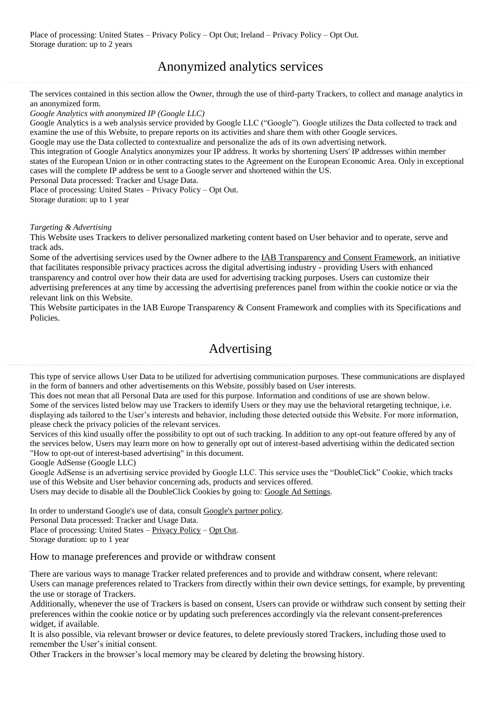# Anonymized analytics services

The services contained in this section allow the Owner, through the use of third-party Trackers, to collect and manage analytics in an anonymized form.

*Google Analytics with anonymized IP (Google LLC)*

Google Analytics is a web analysis service provided by Google LLC ("Google"). Google utilizes the Data collected to track and examine the use of this Website, to prepare reports on its activities and share them with other Google services.

Google may use the Data collected to contextualize and personalize the ads of its own advertising network.

This integration of Google Analytics anonymizes your IP address. It works by shortening Users' IP addresses within member states of the European Union or in other contracting states to the Agreement on the European Economic Area. Only in exceptional cases will the complete IP address be sent to a Google server and shortened within the US.

Personal Data processed: Tracker and Usage Data.

Place of processing: United States – [Privacy](https://policies.google.com/privacy) Policy – Opt [Out.](https://tools.google.com/dlpage/gaoptout?hl=en) Storage duration: up to 1 year

### *Targeting & Advertising*

This Website uses Trackers to deliver personalized marketing content based on User behavior and to operate, serve and track ads.

Some of the advertising services used by the Owner adhere to the IAB [Transparency](https://iabeurope.eu/transparency-consent-framework/) and Consent Framework, an initiative that facilitates responsible privacy practices across the digital advertising industry - providing Users with enhanced transparency and control over how their data are used for advertising tracking purposes. Users can customize their advertising preferences at any time by accessing the advertising preferences panel from within the cookie notice or via the relevant link on this Website.

This Website participates in the IAB Europe Transparency & Consent Framework and complies with its Specifications and Policies.

### Advertising

This type of service allows User Data to be utilized for advertising communication purposes. These communications are displayed in the form of banners and other advertisements on this Website, possibly based on User interests.

This does not mean that all Personal Data are used for this purpose. Information and conditions of use are shown below.

Some of the services listed below may use Trackers to identify Users or they may use the behavioral retargeting technique, i.e. displaying ads tailored to the User's interests and behavior, including those detected outside this Website. For more information, please check the privacy policies of the relevant services.

Services of this kind usually offer the possibility to opt out of such tracking. In addition to any opt-out feature offered by any of the services below, Users may learn more on how to generally opt out of interest-based advertising within the dedicated section "How to opt-out of interest-based advertising" in this document.

Google AdSense (Google LLC)

Google AdSense is an advertising service provided by Google LLC. This service uses the "DoubleClick" Cookie, which tracks use of this Website and User behavior concerning ads, products and services offered.

Users may decide to disable all the DoubleClick Cookies by going to: Google Ad [Settings.](https://adssettings.google.com/authenticated?hl=en)

In order to understand Google's use of data, consult [Google's](https://policies.google.com/technologies/partner-sites) partner policy. Personal Data processed: Tracker and Usage Data. Place of processing: United States – [Privacy](https://policies.google.com/privacy) Policy – Opt [Out.](https://adssettings.google.com/authenticated) Storage duration: up to 1 year

How to manage preferences and provide or withdraw consent

There are various ways to manage Tracker related preferences and to provide and withdraw consent, where relevant: Users can manage preferences related to Trackers from directly within their own device settings, for example, by preventing the use or storage of Trackers.

Additionally, whenever the use of Trackers is based on consent, Users can provide or withdraw such consent by setting their preferences within the cookie notice or by updating such preferences accordingly via the relevant consent-preferences widget, if available.

It is also possible, via relevant browser or device features, to delete previously stored Trackers, including those used to remember the User's initial consent.

Other Trackers in the browser's local memory may be cleared by deleting the browsing history.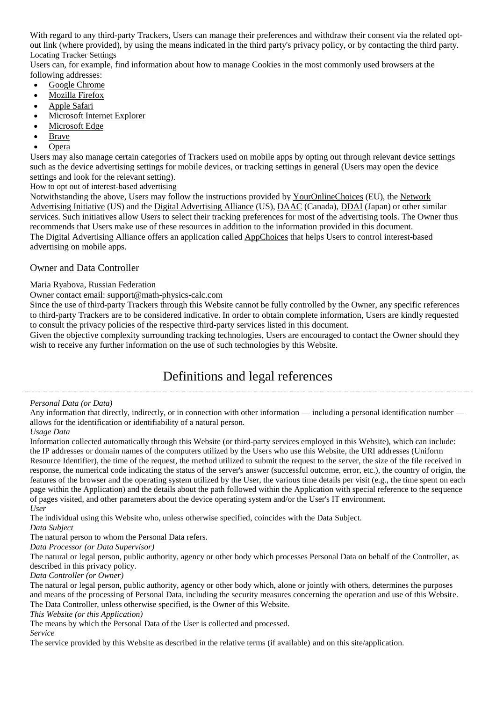With regard to any third-party Trackers, Users can manage their preferences and withdraw their consent via the related optout link (where provided), by using the means indicated in the third party's privacy policy, or by contacting the third party. Locating Tracker Settings

Users can, for example, find information about how to manage Cookies in the most commonly used browsers at the following addresses:

- Google [Chrome](https://support.google.com/chrome/answer/95647?hl=en&p=cpn_cookies)
- [Mozilla](https://support.mozilla.org/en-US/kb/enable-and-disable-cookies-website-preferences) Firefox
- [Apple](https://support.apple.com/guide/safari/manage-cookies-and-website-data-sfri11471/) Safari
- [Microsoft](http://windows.microsoft.com/en-us/windows-vista/block-or-allow-cookies) Internet Explorer
- [Microsoft](https://support.microsoft.com/en-us/help/4027947) Edge
- [Brave](https://support.brave.com/hc/en-us/articles/360022806212-How-do-I-use-Shields-while-browsing)
- [Opera](https://help.opera.com/en/latest/web-preferences/#cookies)

Users may also manage certain categories of Trackers used on mobile apps by opting out through relevant device settings such as the device advertising settings for mobile devices, or tracking settings in general (Users may open the device settings and look for the relevant setting).

How to opt out of interest-based advertising

Notwithstanding the above, Users may follow the instructions provided by [YourOnlineChoices](http://www.youronlinechoices.eu/) (EU), the [Network](https://thenai.org/about-online-advertising/) [Advertising](https://thenai.org/about-online-advertising/) Initiative (US) and the Digital [Advertising](https://www.aboutads.info/consumers/) Alliance (US), [DAAC](https://youradchoices.ca/understanding-online-advertising/) (Canada), [DDAI](http://www.ddai.info/optout) (Japan) or other similar services. Such initiatives allow Users to select their tracking preferences for most of the advertising tools. The Owner thus recommends that Users make use of these resources in addition to the information provided in this document. The Digital Advertising Alliance offers an application called [AppChoices](https://youradchoices.com/appchoices) that helps Users to control interest-based advertising on mobile apps.

### Owner and Data Controller

Maria Ryabova, Russian Federation

Owner contact email: support@math-physics-calc.com

Since the use of third-party Trackers through this Website cannot be fully controlled by the Owner, any specific references to third-party Trackers are to be considered indicative. In order to obtain complete information, Users are kindly requested to consult the privacy policies of the respective third-party services listed in this document.

Given the objective complexity surrounding tracking technologies, Users are encouraged to contact the Owner should they wish to receive any further information on the use of such technologies by this Website.

## Definitions and legal references

### *Personal Data (or Data)*

Any information that directly, indirectly, or in connection with other information — including a personal identification number allows for the identification or identifiability of a natural person.

### *Usage Data*

Information collected automatically through this Website (or third-party services employed in this Website), which can include: the IP addresses or domain names of the computers utilized by the Users who use this Website, the URI addresses (Uniform Resource Identifier), the time of the request, the method utilized to submit the request to the server, the size of the file received in response, the numerical code indicating the status of the server's answer (successful outcome, error, etc.), the country of origin, the features of the browser and the operating system utilized by the User, the various time details per visit (e.g., the time spent on each page within the Application) and the details about the path followed within the Application with special reference to the sequence of pages visited, and other parameters about the device operating system and/or the User's IT environment. *User*

The individual using this Website who, unless otherwise specified, coincides with the Data Subject.

*Data Subject*

The natural person to whom the Personal Data refers.

*Data Processor (or Data Supervisor)*

The natural or legal person, public authority, agency or other body which processes Personal Data on behalf of the Controller, as described in this privacy policy.

*Data Controller (or Owner)*

The natural or legal person, public authority, agency or other body which, alone or jointly with others, determines the purposes and means of the processing of Personal Data, including the security measures concerning the operation and use of this Website. The Data Controller, unless otherwise specified, is the Owner of this Website.

*This Website (or this Application)*

The means by which the Personal Data of the User is collected and processed. *Service*

The service provided by this Website as described in the relative terms (if available) and on this site/application.